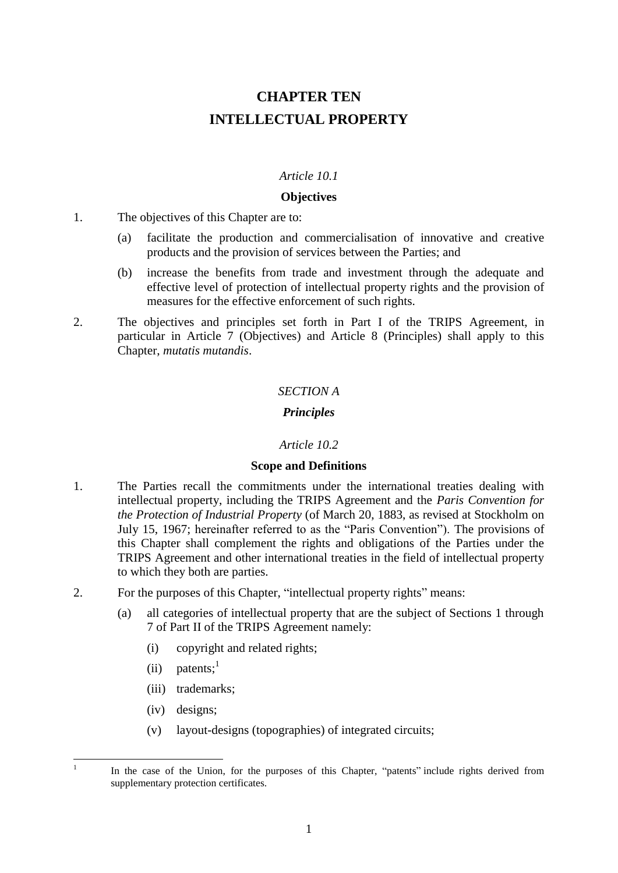# **CHAPTER TEN INTELLECTUAL PROPERTY**

#### *Article 10.1*

#### **Objectives**

- 1. The objectives of this Chapter are to:
	- (a) facilitate the production and commercialisation of innovative and creative products and the provision of services between the Parties; and
	- (b) increase the benefits from trade and investment through the adequate and effective level of protection of intellectual property rights and the provision of measures for the effective enforcement of such rights.
- 2. The objectives and principles set forth in Part I of the TRIPS Agreement, in particular in Article 7 (Objectives) and Article 8 (Principles) shall apply to this Chapter, *mutatis mutandis*.

### *SECTION A*

### *Principles*

#### *Article 10.2*

#### **Scope and Definitions**

- 1. The Parties recall the commitments under the international treaties dealing with intellectual property, including the TRIPS Agreement and the *Paris Convention for the Protection of Industrial Property* (of March 20, 1883, as revised at Stockholm on July 15, 1967; hereinafter referred to as the "Paris Convention"). The provisions of this Chapter shall complement the rights and obligations of the Parties under the TRIPS Agreement and other international treaties in the field of intellectual property to which they both are parties.
- 2. For the purposes of this Chapter, "intellectual property rights" means:
	- (a) all categories of intellectual property that are the subject of Sections 1 through 7 of Part II of the TRIPS Agreement namely:
		- (i) copyright and related rights;
		- $(iii)$  patents;<sup>1</sup>
		- (iii) trademarks;
		- (iv) designs;
		- (v) layout-designs (topographies) of integrated circuits;

 $\frac{1}{1}$ In the case of the Union, for the purposes of this Chapter, "patents" include rights derived from supplementary protection certificates.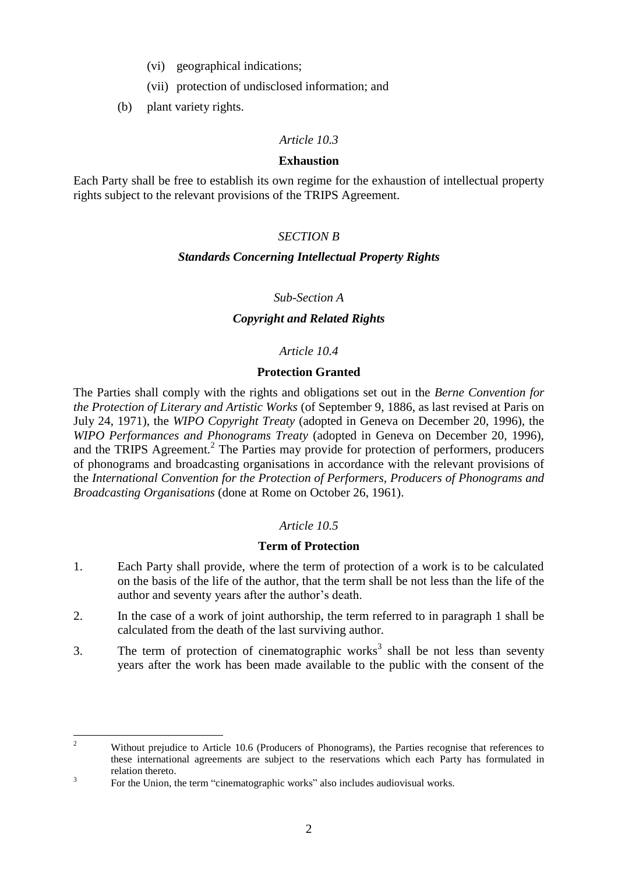- (vi) geographical indications;
- (vii) protection of undisclosed information; and
- (b) plant variety rights.

#### **Exhaustion**

Each Party shall be free to establish its own regime for the exhaustion of intellectual property rights subject to the relevant provisions of the TRIPS Agreement.

#### *SECTION B*

#### *Standards Concerning Intellectual Property Rights*

#### *Sub-Section A*

#### *Copyright and Related Rights*

### *Article 10.4*

#### **Protection Granted**

The Parties shall comply with the rights and obligations set out in the *Berne Convention for the Protection of Literary and Artistic Works* (of September 9, 1886, as last revised at Paris on July 24, 1971), the *WIPO Copyright Treaty* (adopted in Geneva on December 20, 1996), the *WIPO Performances and Phonograms Treaty* (adopted in Geneva on December 20, 1996), and the TRIPS Agreement.<sup>2</sup> The Parties may provide for protection of performers, producers of phonograms and broadcasting organisations in accordance with the relevant provisions of the *International Convention for the Protection of Performers, Producers of Phonograms and Broadcasting Organisations* (done at Rome on October 26, 1961).

#### *Article 10.5*

#### **Term of Protection**

- 1. Each Party shall provide, where the term of protection of a work is to be calculated on the basis of the life of the author, that the term shall be not less than the life of the author and seventy years after the author's death.
- 2. In the case of a work of joint authorship, the term referred to in paragraph 1 shall be calculated from the death of the last surviving author.
- 3. The term of protection of cinematographic works<sup>3</sup> shall be not less than seventy years after the work has been made available to the public with the consent of the

 $\overline{2}$ <sup>2</sup> Without prejudice to Article 10.6 (Producers of Phonograms), the Parties recognise that references to these international agreements are subject to the reservations which each Party has formulated in relation thereto.

<sup>3</sup> For the Union, the term "cinematographic works" also includes audiovisual works.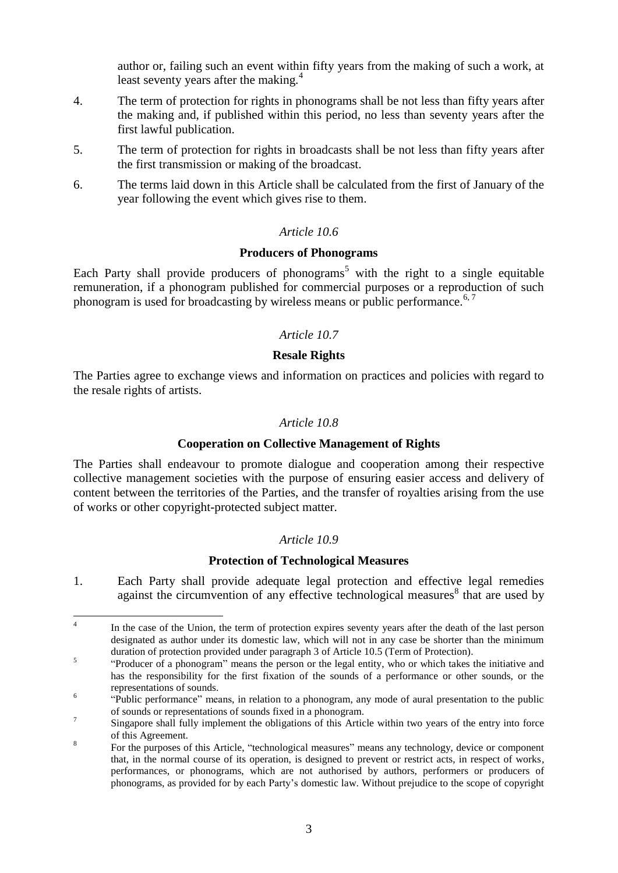author or, failing such an event within fifty years from the making of such a work, at least seventy years after the making. $4$ 

- 4. The term of protection for rights in phonograms shall be not less than fifty years after the making and, if published within this period, no less than seventy years after the first lawful publication.
- 5. The term of protection for rights in broadcasts shall be not less than fifty years after the first transmission or making of the broadcast.
- 6. The terms laid down in this Article shall be calculated from the first of January of the year following the event which gives rise to them.

### *Article 10.6*

#### **Producers of Phonograms**

Each Party shall provide producers of phonograms<sup>5</sup> with the right to a single equitable remuneration, if a phonogram published for commercial purposes or a reproduction of such phonogram is used for broadcasting by wireless means or public performance.<sup>6, 7</sup>

### *Article 10.7*

#### **Resale Rights**

The Parties agree to exchange views and information on practices and policies with regard to the resale rights of artists.

#### *Article 10.8*

#### **Cooperation on Collective Management of Rights**

The Parties shall endeavour to promote dialogue and cooperation among their respective collective management societies with the purpose of ensuring easier access and delivery of content between the territories of the Parties, and the transfer of royalties arising from the use of works or other copyright-protected subject matter.

# *Article 10.9*

#### **Protection of Technological Measures**

1. Each Party shall provide adequate legal protection and effective legal remedies against the circumvention of any effective technological measures<sup>8</sup> that are used by

 $\frac{1}{4}$ In the case of the Union, the term of protection expires seventy years after the death of the last person designated as author under its domestic law, which will not in any case be shorter than the minimum duration of protection provided under paragraph 3 of Article 10.5 (Term of Protection).

<sup>5</sup> "Producer of a phonogram" means the person or the legal entity, who or which takes the initiative and has the responsibility for the first fixation of the sounds of a performance or other sounds, or the representations of sounds.

<sup>6</sup> "Public performance" means, in relation to a phonogram, any mode of aural presentation to the public of sounds or representations of sounds fixed in a phonogram.

<sup>7</sup> Singapore shall fully implement the obligations of this Article within two years of the entry into force of this Agreement.

<sup>8</sup> For the purposes of this Article, "technological measures" means any technology, device or component that, in the normal course of its operation, is designed to prevent or restrict acts, in respect of works, performances, or phonograms, which are not authorised by authors, performers or producers of phonograms, as provided for by each Party's domestic law. Without prejudice to the scope of copyright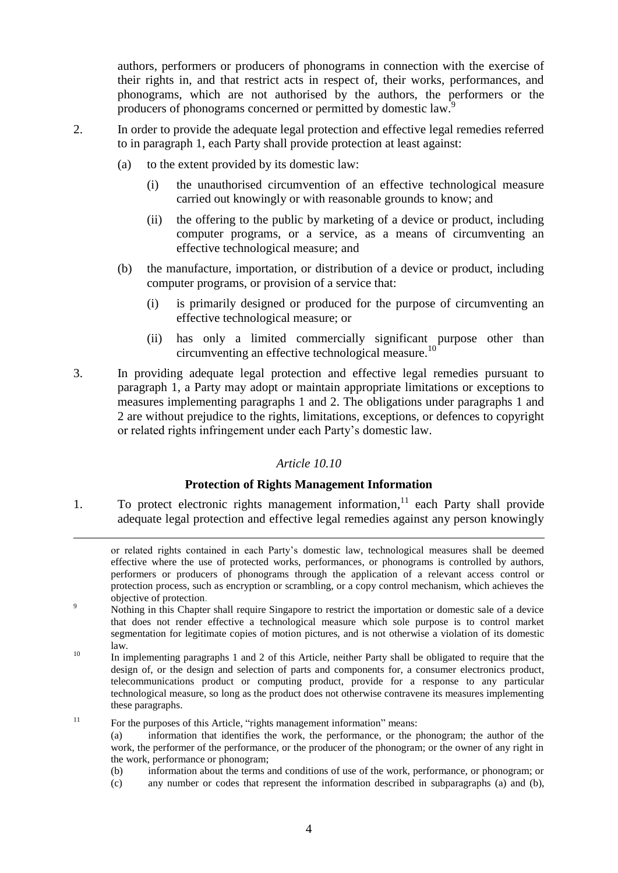authors, performers or producers of phonograms in connection with the exercise of their rights in, and that restrict acts in respect of, their works, performances, and phonograms, which are not authorised by the authors, the performers or the producers of phonograms concerned or permitted by domestic law.<sup>9</sup>

- 2. In order to provide the adequate legal protection and effective legal remedies referred to in paragraph 1, each Party shall provide protection at least against:
	- (a) to the extent provided by its domestic law:
		- (i) the unauthorised circumvention of an effective technological measure carried out knowingly or with reasonable grounds to know; and
		- (ii) the offering to the public by marketing of a device or product, including computer programs, or a service, as a means of circumventing an effective technological measure; and
	- (b) the manufacture, importation, or distribution of a device or product, including computer programs, or provision of a service that:
		- (i) is primarily designed or produced for the purpose of circumventing an effective technological measure; or
		- (ii) has only a limited commercially significant purpose other than circumventing an effective technological measure.<sup>10</sup>
- 3. In providing adequate legal protection and effective legal remedies pursuant to paragraph 1, a Party may adopt or maintain appropriate limitations or exceptions to measures implementing paragraphs 1 and 2. The obligations under paragraphs 1 and 2 are without prejudice to the rights, limitations, exceptions, or defences to copyright or related rights infringement under each Party's domestic law.

### *Article 10.10*

### **Protection of Rights Management Information**

1. To protect electronic rights management information,<sup>11</sup> each Party shall provide adequate legal protection and effective legal remedies against any person knowingly

- <sup>9</sup><br>Nothing in this Chapter shall require Singapore to restrict the importation or domestic sale of a device that does not render effective a technological measure which sole purpose is to control market segmentation for legitimate copies of motion pictures, and is not otherwise a violation of its domestic law.
- <sup>10</sup> In implementing paragraphs 1 and 2 of this Article, neither Party shall be obligated to require that the design of, or the design and selection of parts and components for, a consumer electronics product, telecommunications product or computing product, provide for a response to any particular technological measure, so long as the product does not otherwise contravene its measures implementing these paragraphs.
- <sup>11</sup> For the purposes of this Article, "rights management information" means:

1

- (a) information that identifies the work, the performance, or the phonogram; the author of the work, the performer of the performance, or the producer of the phonogram; or the owner of any right in the work, performance or phonogram;
- (b) information about the terms and conditions of use of the work, performance, or phonogram; or
- (c) any number or codes that represent the information described in subparagraphs (a) and (b),

or related rights contained in each Party's domestic law, technological measures shall be deemed effective where the use of protected works, performances, or phonograms is controlled by authors, performers or producers of phonograms through the application of a relevant access control or protection process, such as encryption or scrambling, or a copy control mechanism, which achieves the objective of protection.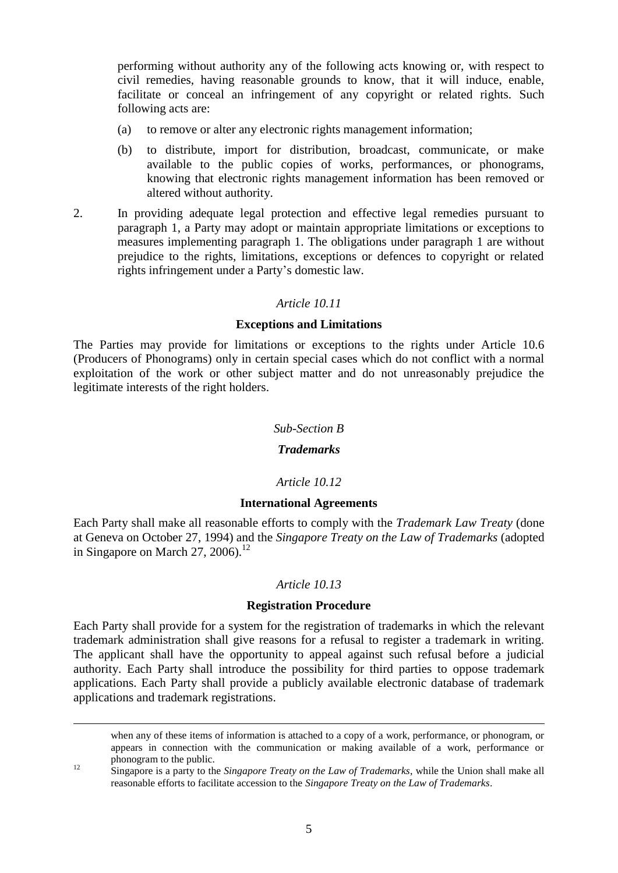performing without authority any of the following acts knowing or, with respect to civil remedies, having reasonable grounds to know, that it will induce, enable, facilitate or conceal an infringement of any copyright or related rights. Such following acts are:

- (a) to remove or alter any electronic rights management information;
- (b) to distribute, import for distribution, broadcast, communicate, or make available to the public copies of works, performances, or phonograms, knowing that electronic rights management information has been removed or altered without authority.
- 2. In providing adequate legal protection and effective legal remedies pursuant to paragraph 1, a Party may adopt or maintain appropriate limitations or exceptions to measures implementing paragraph 1. The obligations under paragraph 1 are without prejudice to the rights, limitations, exceptions or defences to copyright or related rights infringement under a Party's domestic law.

### *Article 10.11*

#### **Exceptions and Limitations**

The Parties may provide for limitations or exceptions to the rights under Article 10.6 (Producers of Phonograms) only in certain special cases which do not conflict with a normal exploitation of the work or other subject matter and do not unreasonably prejudice the legitimate interests of the right holders.

#### *Sub-Section B*

#### *Trademarks*

#### *Article 10.12*

#### **International Agreements**

Each Party shall make all reasonable efforts to comply with the *Trademark Law Treaty* (done at Geneva on October 27, 1994) and the *Singapore Treaty on the Law of Trademarks* (adopted in Singapore on March 27, 2006).<sup>12</sup>

#### *Article 10.13*

#### **Registration Procedure**

Each Party shall provide for a system for the registration of trademarks in which the relevant trademark administration shall give reasons for a refusal to register a trademark in writing. The applicant shall have the opportunity to appeal against such refusal before a judicial authority. Each Party shall introduce the possibility for third parties to oppose trademark applications. Each Party shall provide a publicly available electronic database of trademark applications and trademark registrations.

when any of these items of information is attached to a copy of a work, performance, or phonogram, or appears in connection with the communication or making available of a work, performance or phonogram to the public.

<u>.</u>

<sup>&</sup>lt;sup>12</sup> Singapore is a party to the *Singapore Treaty on the Law of Trademarks*, while the Union shall make all reasonable efforts to facilitate accession to the *Singapore Treaty on the Law of Trademarks*.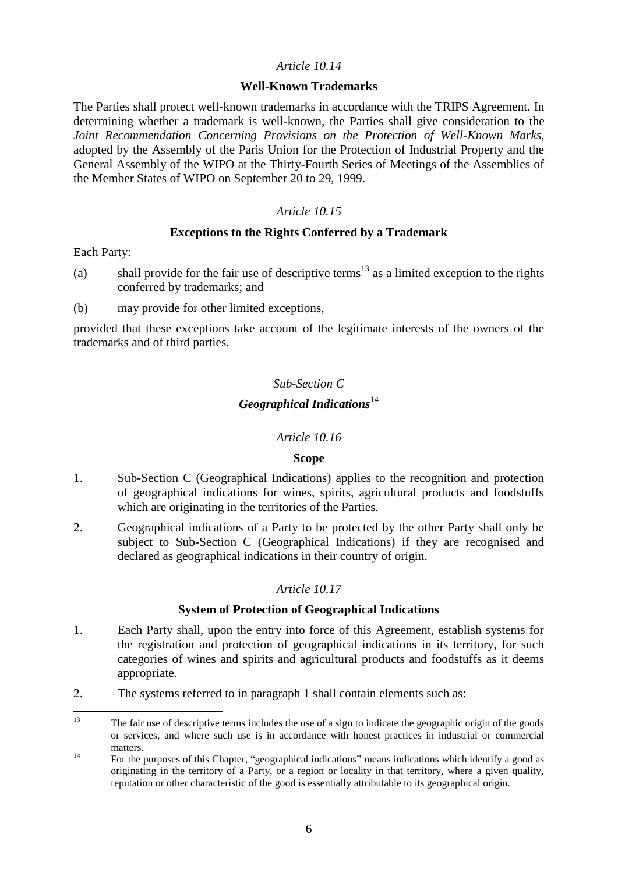#### **Well-Known Trademarks**

The Parties shall protect well-known trademarks in accordance with the TRIPS Agreement. In determining whether a trademark is well-known, the Parties shall give consideration to the *Joint Recommendation Concerning Provisions on the Protection of Well-Known Marks*, adopted by the Assembly of the Paris Union for the Protection of Industrial Property and the General Assembly of the WIPO at the Thirty-Fourth Series of Meetings of the Assemblies of the Member States of WIPO on September 20 to 29, 1999.

### *Article 10.15*

### **Exceptions to the Rights Conferred by a Trademark**

Each Party:

- (a) shall provide for the fair use of descriptive terms<sup>13</sup> as a limited exception to the rights conferred by trademarks; and
- (b) may provide for other limited exceptions,

provided that these exceptions take account of the legitimate interests of the owners of the trademarks and of third parties.

### *Sub-Section C*

# *Geographical Indications*<sup>14</sup>

### *Article 10.16*

#### **Scope**

- 1. Sub-Section C (Geographical Indications) applies to the recognition and protection of geographical indications for wines, spirits, agricultural products and foodstuffs which are originating in the territories of the Parties.
- 2. Geographical indications of a Party to be protected by the other Party shall only be subject to Sub-Section C (Geographical Indications) if they are recognised and declared as geographical indications in their country of origin.

### *Article 10.17*

#### **System of Protection of Geographical Indications**

- 1. Each Party shall, upon the entry into force of this Agreement, establish systems for the registration and protection of geographical indications in its territory, for such categories of wines and spirits and agricultural products and foodstuffs as it deems appropriate.
- 2. The systems referred to in paragraph 1 shall contain elements such as:

 $13$ <sup>13</sup> The fair use of descriptive terms includes the use of a sign to indicate the geographic origin of the goods or services, and where such use is in accordance with honest practices in industrial or commercial matters.

<sup>&</sup>lt;sup>14</sup> For the purposes of this Chapter, "geographical indications" means indications which identify a good as originating in the territory of a Party, or a region or locality in that territory, where a given quality, reputation or other characteristic of the good is essentially attributable to its geographical origin.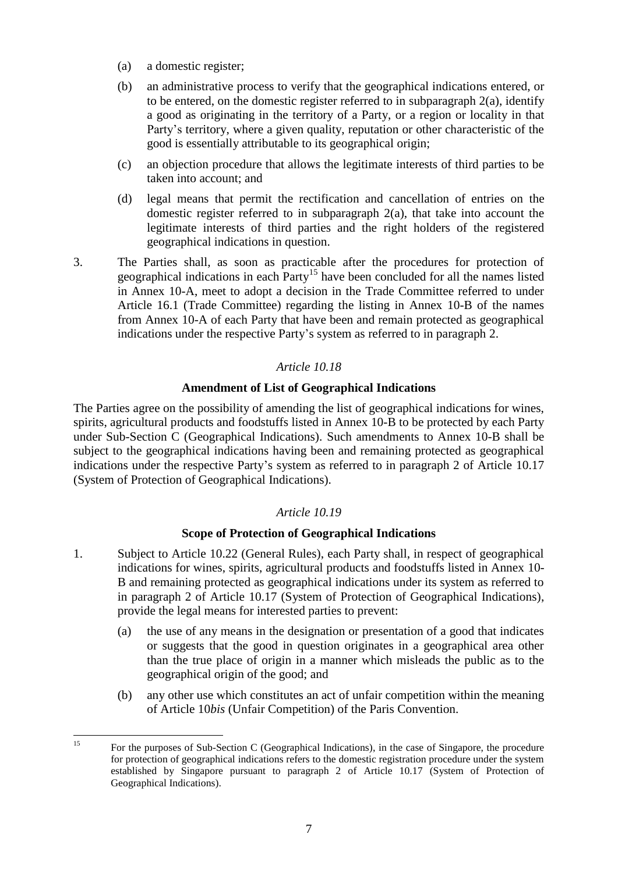- (a) a domestic register;
- (b) an administrative process to verify that the geographical indications entered, or to be entered, on the domestic register referred to in subparagraph  $2(a)$ , identify a good as originating in the territory of a Party, or a region or locality in that Party's territory, where a given quality, reputation or other characteristic of the good is essentially attributable to its geographical origin;
- (c) an objection procedure that allows the legitimate interests of third parties to be taken into account; and
- (d) legal means that permit the rectification and cancellation of entries on the domestic register referred to in subparagraph 2(a), that take into account the legitimate interests of third parties and the right holders of the registered geographical indications in question.
- 3. The Parties shall, as soon as practicable after the procedures for protection of geographical indications in each Party<sup>15</sup> have been concluded for all the names listed in Annex 10-A, meet to adopt a decision in the Trade Committee referred to under Article 16.1 (Trade Committee) regarding the listing in Annex 10-B of the names from Annex 10-A of each Party that have been and remain protected as geographical indications under the respective Party's system as referred to in paragraph 2.

# **Amendment of List of Geographical Indications**

The Parties agree on the possibility of amending the list of geographical indications for wines, spirits, agricultural products and foodstuffs listed in Annex 10-B to be protected by each Party under Sub-Section C (Geographical Indications). Such amendments to Annex 10-B shall be subject to the geographical indications having been and remaining protected as geographical indications under the respective Party's system as referred to in paragraph 2 of Article 10.17 (System of Protection of Geographical Indications).

# *Article 10.19*

# **Scope of Protection of Geographical Indications**

- 1. Subject to Article 10.22 (General Rules), each Party shall, in respect of geographical indications for wines, spirits, agricultural products and foodstuffs listed in Annex 10- B and remaining protected as geographical indications under its system as referred to in paragraph 2 of Article 10.17 (System of Protection of Geographical Indications), provide the legal means for interested parties to prevent:
	- (a) the use of any means in the designation or presentation of a good that indicates or suggests that the good in question originates in a geographical area other than the true place of origin in a manner which misleads the public as to the geographical origin of the good; and
	- (b) any other use which constitutes an act of unfair competition within the meaning of Article 10*bis* (Unfair Competition) of the Paris Convention.

 $15$ <sup>15</sup> For the purposes of Sub-Section C (Geographical Indications), in the case of Singapore, the procedure for protection of geographical indications refers to the domestic registration procedure under the system established by Singapore pursuant to paragraph 2 of Article 10.17 (System of Protection of Geographical Indications).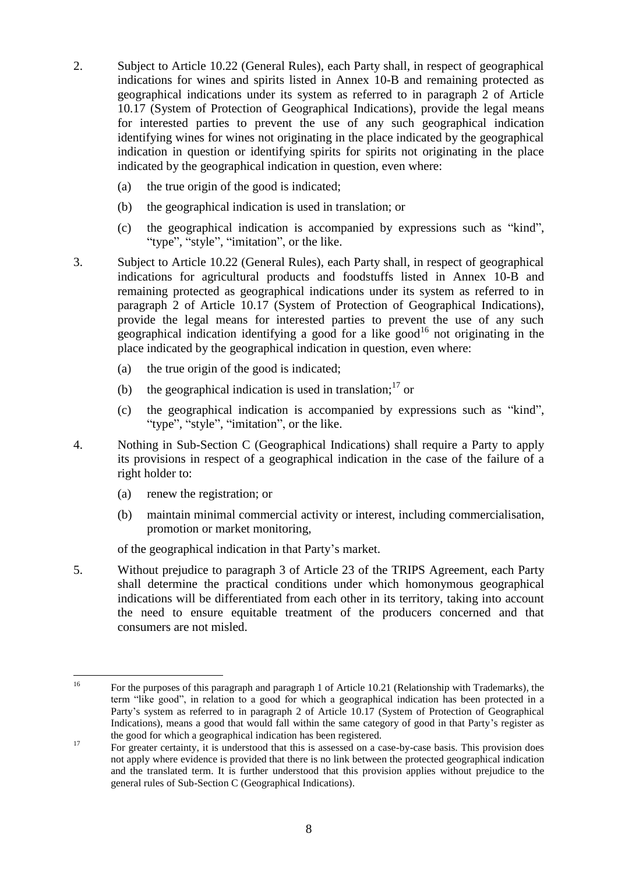- 2. Subject to Article 10.22 (General Rules), each Party shall, in respect of geographical indications for wines and spirits listed in Annex 10-B and remaining protected as geographical indications under its system as referred to in paragraph 2 of Article 10.17 (System of Protection of Geographical Indications), provide the legal means for interested parties to prevent the use of any such geographical indication identifying wines for wines not originating in the place indicated by the geographical indication in question or identifying spirits for spirits not originating in the place indicated by the geographical indication in question, even where:
	- (a) the true origin of the good is indicated;
	- (b) the geographical indication is used in translation; or
	- (c) the geographical indication is accompanied by expressions such as "kind", "type", "style", "imitation", or the like.
- 3. Subject to Article 10.22 (General Rules), each Party shall, in respect of geographical indications for agricultural products and foodstuffs listed in Annex 10-B and remaining protected as geographical indications under its system as referred to in paragraph 2 of Article 10.17 (System of Protection of Geographical Indications), provide the legal means for interested parties to prevent the use of any such geographical indication identifying a good for a like good<sup>16</sup> not originating in the place indicated by the geographical indication in question, even where:
	- (a) the true origin of the good is indicated;
	- (b) the geographical indication is used in translation; $17$  or
	- (c) the geographical indication is accompanied by expressions such as "kind", "type", "style", "imitation", or the like.
- 4. Nothing in Sub-Section C (Geographical Indications) shall require a Party to apply its provisions in respect of a geographical indication in the case of the failure of a right holder to:
	- (a) renew the registration; or
	- (b) maintain minimal commercial activity or interest, including commercialisation, promotion or market monitoring,

of the geographical indication in that Party's market.

5. Without prejudice to paragraph 3 of Article 23 of the TRIPS Agreement, each Party shall determine the practical conditions under which homonymous geographical indications will be differentiated from each other in its territory, taking into account the need to ensure equitable treatment of the producers concerned and that consumers are not misled.

 $16\,$ <sup>16</sup> For the purposes of this paragraph and paragraph 1 of Article 10.21 (Relationship with Trademarks), the term "like good", in relation to a good for which a geographical indication has been protected in a Party's system as referred to in paragraph 2 of Article 10.17 (System of Protection of Geographical Indications), means a good that would fall within the same category of good in that Party's register as the good for which a geographical indication has been registered.

<sup>&</sup>lt;sup>17</sup> For greater certainty, it is understood that this is assessed on a case-by-case basis. This provision does not apply where evidence is provided that there is no link between the protected geographical indication and the translated term. It is further understood that this provision applies without prejudice to the general rules of Sub-Section C (Geographical Indications).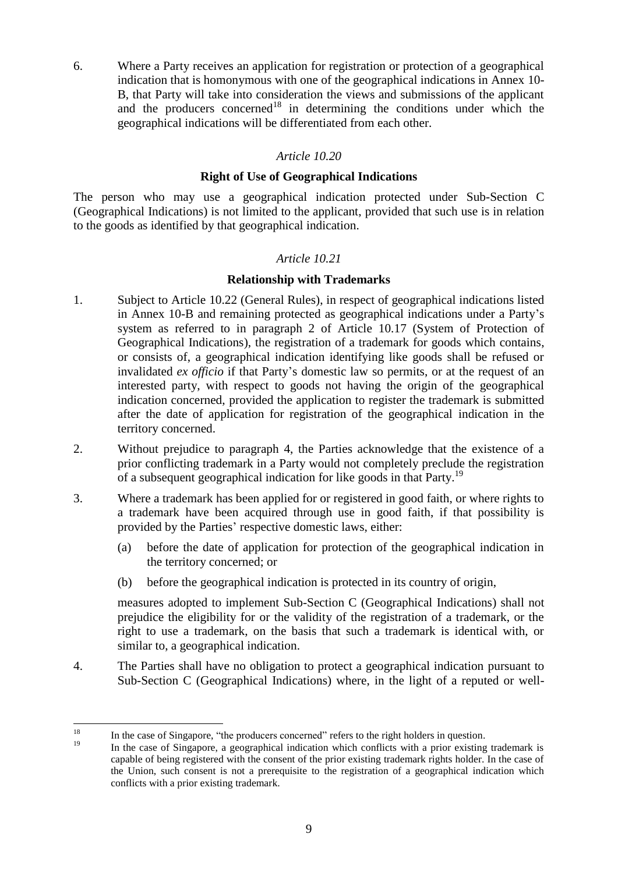6. Where a Party receives an application for registration or protection of a geographical indication that is homonymous with one of the geographical indications in Annex 10- B, that Party will take into consideration the views and submissions of the applicant and the producers concerned<sup>18</sup> in determining the conditions under which the geographical indications will be differentiated from each other.

## *Article 10.20*

### **Right of Use of Geographical Indications**

The person who may use a geographical indication protected under Sub-Section C (Geographical Indications) is not limited to the applicant, provided that such use is in relation to the goods as identified by that geographical indication.

### *Article 10.21*

# **Relationship with Trademarks**

- 1. Subject to Article 10.22 (General Rules), in respect of geographical indications listed in Annex 10-B and remaining protected as geographical indications under a Party's system as referred to in paragraph 2 of Article 10.17 (System of Protection of Geographical Indications), the registration of a trademark for goods which contains, or consists of, a geographical indication identifying like goods shall be refused or invalidated *ex officio* if that Party's domestic law so permits, or at the request of an interested party, with respect to goods not having the origin of the geographical indication concerned, provided the application to register the trademark is submitted after the date of application for registration of the geographical indication in the territory concerned.
- 2. Without prejudice to paragraph 4, the Parties acknowledge that the existence of a prior conflicting trademark in a Party would not completely preclude the registration of a subsequent geographical indication for like goods in that Party.<sup>19</sup>
- 3. Where a trademark has been applied for or registered in good faith, or where rights to a trademark have been acquired through use in good faith, if that possibility is provided by the Parties' respective domestic laws, either:
	- (a) before the date of application for protection of the geographical indication in the territory concerned; or
	- (b) before the geographical indication is protected in its country of origin,

measures adopted to implement Sub-Section C (Geographical Indications) shall not prejudice the eligibility for or the validity of the registration of a trademark, or the right to use a trademark, on the basis that such a trademark is identical with, or similar to, a geographical indication.

4. The Parties shall have no obligation to protect a geographical indication pursuant to Sub-Section C (Geographical Indications) where, in the light of a reputed or well-

<sup>18</sup> <sup>18</sup> In the case of Singapore, "the producers concerned" refers to the right holders in question.<br><sup>19</sup> In the case of Singapore, a geographical indication which conflicts with a prior evisting

<sup>19</sup> In the case of Singapore, a geographical indication which conflicts with a prior existing trademark is capable of being registered with the consent of the prior existing trademark rights holder. In the case of the Union, such consent is not a prerequisite to the registration of a geographical indication which conflicts with a prior existing trademark.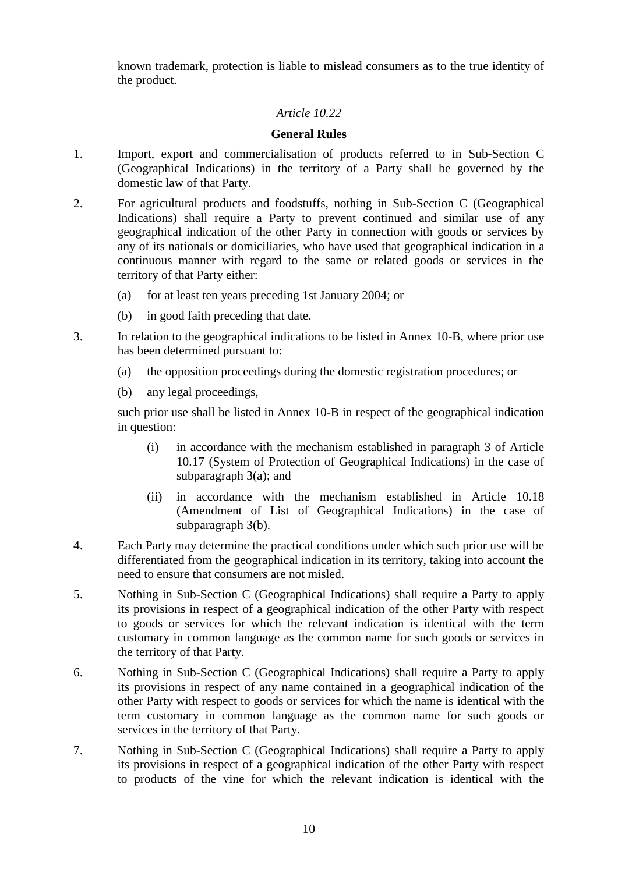known trademark, protection is liable to mislead consumers as to the true identity of the product.

### *Article 10.22*

### **General Rules**

- 1. Import, export and commercialisation of products referred to in Sub-Section C (Geographical Indications) in the territory of a Party shall be governed by the domestic law of that Party.
- 2. For agricultural products and foodstuffs, nothing in Sub-Section C (Geographical Indications) shall require a Party to prevent continued and similar use of any geographical indication of the other Party in connection with goods or services by any of its nationals or domiciliaries, who have used that geographical indication in a continuous manner with regard to the same or related goods or services in the territory of that Party either:
	- (a) for at least ten years preceding 1st January 2004; or
	- (b) in good faith preceding that date.
- 3. In relation to the geographical indications to be listed in Annex 10-B, where prior use has been determined pursuant to:
	- (a) the opposition proceedings during the domestic registration procedures; or
	- (b) any legal proceedings,

such prior use shall be listed in Annex 10-B in respect of the geographical indication in question:

- (i) in accordance with the mechanism established in paragraph 3 of Article 10.17 (System of Protection of Geographical Indications) in the case of subparagraph 3(a); and
- (ii) in accordance with the mechanism established in Article 10.18 (Amendment of List of Geographical Indications) in the case of subparagraph 3(b).
- 4. Each Party may determine the practical conditions under which such prior use will be differentiated from the geographical indication in its territory, taking into account the need to ensure that consumers are not misled.
- 5. Nothing in Sub-Section C (Geographical Indications) shall require a Party to apply its provisions in respect of a geographical indication of the other Party with respect to goods or services for which the relevant indication is identical with the term customary in common language as the common name for such goods or services in the territory of that Party.
- 6. Nothing in Sub-Section C (Geographical Indications) shall require a Party to apply its provisions in respect of any name contained in a geographical indication of the other Party with respect to goods or services for which the name is identical with the term customary in common language as the common name for such goods or services in the territory of that Party.
- 7. Nothing in Sub-Section C (Geographical Indications) shall require a Party to apply its provisions in respect of a geographical indication of the other Party with respect to products of the vine for which the relevant indication is identical with the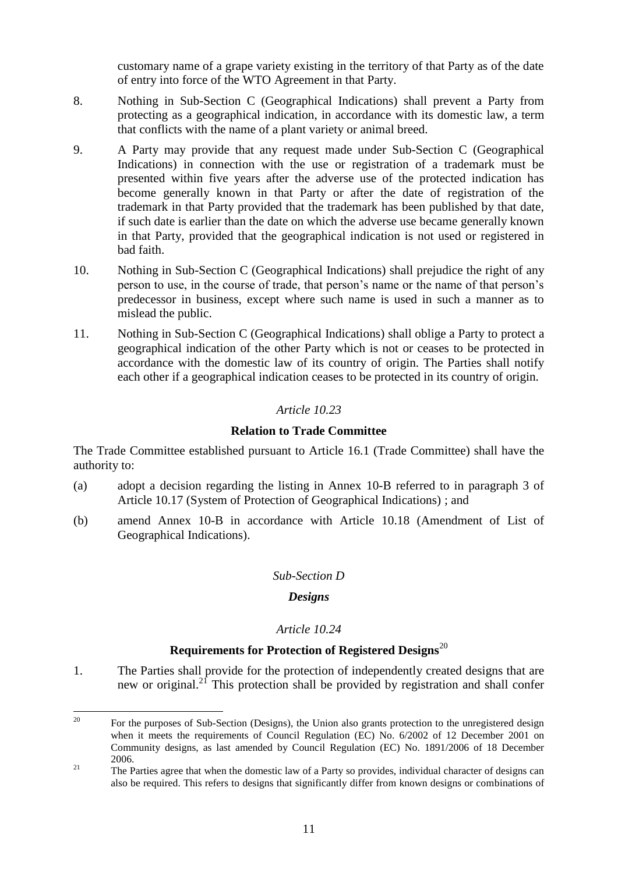customary name of a grape variety existing in the territory of that Party as of the date of entry into force of the WTO Agreement in that Party.

- 8. Nothing in Sub-Section C (Geographical Indications) shall prevent a Party from protecting as a geographical indication, in accordance with its domestic law, a term that conflicts with the name of a plant variety or animal breed.
- 9. A Party may provide that any request made under Sub-Section C (Geographical Indications) in connection with the use or registration of a trademark must be presented within five years after the adverse use of the protected indication has become generally known in that Party or after the date of registration of the trademark in that Party provided that the trademark has been published by that date, if such date is earlier than the date on which the adverse use became generally known in that Party, provided that the geographical indication is not used or registered in bad faith.
- 10. Nothing in Sub-Section C (Geographical Indications) shall prejudice the right of any person to use, in the course of trade, that person's name or the name of that person's predecessor in business, except where such name is used in such a manner as to mislead the public.
- 11. Nothing in Sub-Section C (Geographical Indications) shall oblige a Party to protect a geographical indication of the other Party which is not or ceases to be protected in accordance with the domestic law of its country of origin. The Parties shall notify each other if a geographical indication ceases to be protected in its country of origin.

### *Article 10.23*

### **Relation to Trade Committee**

The Trade Committee established pursuant to Article 16.1 (Trade Committee) shall have the authority to:

- (a) adopt a decision regarding the listing in Annex 10-B referred to in paragraph 3 of Article 10.17 (System of Protection of Geographical Indications) ; and
- (b) amend Annex 10-B in accordance with Article 10.18 (Amendment of List of Geographical Indications).

### *Sub-Section D*

### *Designs*

### *Article 10.24*

### **Requirements for Protection of Registered Designs**<sup>20</sup>

1. The Parties shall provide for the protection of independently created designs that are new or original.<sup>21</sup> This protection shall be provided by registration and shall confer

 $20\degree$ <sup>20</sup> For the purposes of Sub-Section (Designs), the Union also grants protection to the unregistered design when it meets the requirements of Council Regulation (EC) No. 6/2002 of 12 December 2001 on Community designs, as last amended by Council Regulation (EC) No. 1891/2006 of 18 December 2006.

<sup>&</sup>lt;sup>21</sup> The Parties agree that when the domestic law of a Party so provides, individual character of designs can also be required. This refers to designs that significantly differ from known designs or combinations of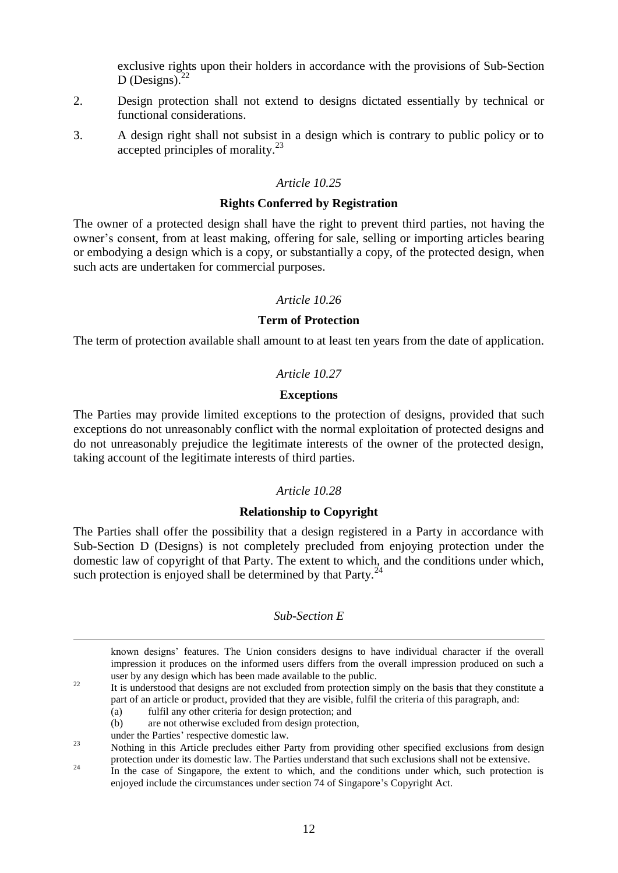exclusive rights upon their holders in accordance with the provisions of Sub-Section D (Designs). $^{22}$ 

- 2. Design protection shall not extend to designs dictated essentially by technical or functional considerations.
- 3. A design right shall not subsist in a design which is contrary to public policy or to accepted principles of morality.<sup>23</sup>

#### *Article 10.25*

#### **Rights Conferred by Registration**

The owner of a protected design shall have the right to prevent third parties, not having the owner's consent, from at least making, offering for sale, selling or importing articles bearing or embodying a design which is a copy, or substantially a copy, of the protected design, when such acts are undertaken for commercial purposes.

#### *Article 10.26*

#### **Term of Protection**

The term of protection available shall amount to at least ten years from the date of application.

#### *Article 10.27*

#### **Exceptions**

The Parties may provide limited exceptions to the protection of designs, provided that such exceptions do not unreasonably conflict with the normal exploitation of protected designs and do not unreasonably prejudice the legitimate interests of the owner of the protected design, taking account of the legitimate interests of third parties.

#### *Article 10.28*

#### **Relationship to Copyright**

The Parties shall offer the possibility that a design registered in a Party in accordance with Sub-Section D (Designs) is not completely precluded from enjoying protection under the domestic law of copyright of that Party. The extent to which, and the conditions under which, such protection is enjoyed shall be determined by that Party. $^{24}$ 

#### *Sub-Section E*

known designs' features. The Union considers designs to have individual character if the overall impression it produces on the informed users differs from the overall impression produced on such a user by any design which has been made available to the public.

<sup>22</sup> It is understood that designs are not excluded from protection simply on the basis that they constitute a part of an article or product, provided that they are visible, fulfil the criteria of this paragraph, and:

- (a) fulfil any other criteria for design protection; and
- (b) are not otherwise excluded from design protection,
- under the Parties' respective domestic law.

<u>.</u>

<sup>23</sup> Nothing in this Article precludes either Party from providing other specified exclusions from design protection under its domestic law. The Parties understand that such exclusions shall not be extensive.

<sup>24</sup> In the case of Singapore, the extent to which, and the conditions under which, such protection is enjoyed include the circumstances under section 74 of Singapore's Copyright Act.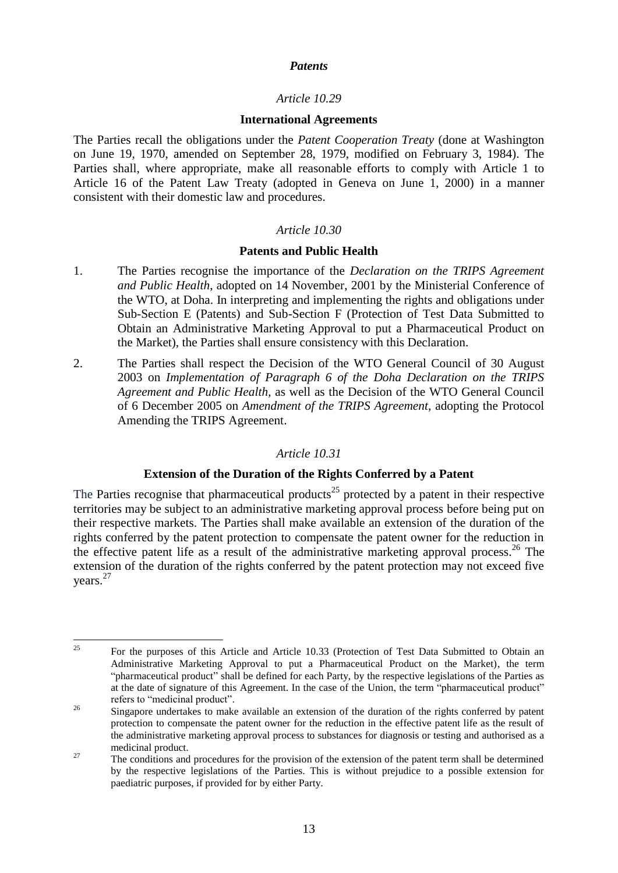#### *Patents*

#### *Article 10.29*

#### **International Agreements**

The Parties recall the obligations under the *Patent Cooperation Treaty* (done at Washington on June 19, 1970, amended on September 28, 1979, modified on February 3, 1984). The Parties shall, where appropriate, make all reasonable efforts to comply with Article 1 to Article 16 of the Patent Law Treaty (adopted in Geneva on June 1, 2000) in a manner consistent with their domestic law and procedures.

### *Article 10.30*

#### **Patents and Public Health**

- 1. The Parties recognise the importance of the *Declaration on the TRIPS Agreement and Public Health*, adopted on 14 November, 2001 by the Ministerial Conference of the WTO, at Doha. In interpreting and implementing the rights and obligations under Sub-Section E (Patents) and Sub-Section F (Protection of Test Data Submitted to Obtain an Administrative Marketing Approval to put a Pharmaceutical Product on the Market), the Parties shall ensure consistency with this Declaration.
- 2. The Parties shall respect the Decision of the WTO General Council of 30 August 2003 on *Implementation of Paragraph 6 of the Doha Declaration on the TRIPS Agreement and Public Health*, as well as the Decision of the WTO General Council of 6 December 2005 on *Amendment of the TRIPS Agreement*, adopting the Protocol Amending the TRIPS Agreement.

#### *Article 10.31*

### **Extension of the Duration of the Rights Conferred by a Patent**

The Parties recognise that pharmaceutical products<sup>25</sup> protected by a patent in their respective territories may be subject to an administrative marketing approval process before being put on their respective markets. The Parties shall make available an extension of the duration of the rights conferred by the patent protection to compensate the patent owner for the reduction in the effective patent life as a result of the administrative marketing approval process. <sup>26</sup> The extension of the duration of the rights conferred by the patent protection may not exceed five years. 27

<sup>25</sup> <sup>25</sup> For the purposes of this Article and Article 10.33 (Protection of Test Data Submitted to Obtain an Administrative Marketing Approval to put a Pharmaceutical Product on the Market), the term "pharmaceutical product" shall be defined for each Party, by the respective legislations of the Parties as at the date of signature of this Agreement. In the case of the Union, the term "pharmaceutical product" refers to "medicinal product".

<sup>&</sup>lt;sup>26</sup> Singapore undertakes to make available an extension of the duration of the rights conferred by patent protection to compensate the patent owner for the reduction in the effective patent life as the result of the administrative marketing approval process to substances for diagnosis or testing and authorised as a medicinal product.

<sup>&</sup>lt;sup>27</sup> The conditions and procedures for the provision of the extension of the patent term shall be determined by the respective legislations of the Parties. This is without prejudice to a possible extension for paediatric purposes, if provided for by either Party.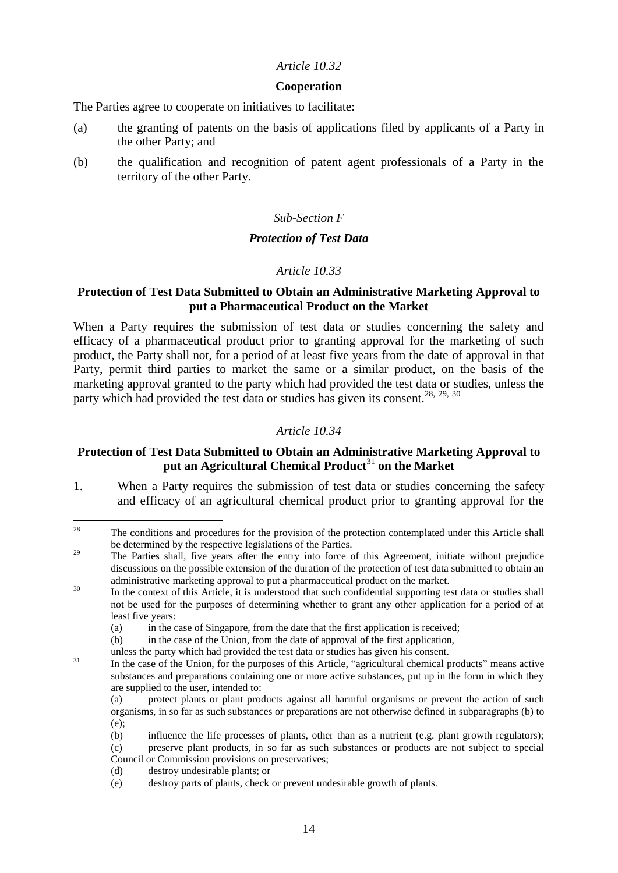#### **Cooperation**

The Parties agree to cooperate on initiatives to facilitate:

- (a) the granting of patents on the basis of applications filed by applicants of a Party in the other Party; and
- (b) the qualification and recognition of patent agent professionals of a Party in the territory of the other Party.

### *Sub-Section F*

### *Protection of Test Data*

#### *Article 10.33*

### **Protection of Test Data Submitted to Obtain an Administrative Marketing Approval to put a Pharmaceutical Product on the Market**

When a Party requires the submission of test data or studies concerning the safety and efficacy of a pharmaceutical product prior to granting approval for the marketing of such product, the Party shall not, for a period of at least five years from the date of approval in that Party, permit third parties to market the same or a similar product, on the basis of the marketing approval granted to the party which had provided the test data or studies, unless the party which had provided the test data or studies has given its consent.<sup>28, 29, 30</sup>

# *Article 10.34*

### **Protection of Test Data Submitted to Obtain an Administrative Marketing Approval to put an Agricultural Chemical Product**<sup>31</sup> **on the Market**

1. When a Party requires the submission of test data or studies concerning the safety and efficacy of an agricultural chemical product prior to granting approval for the

<sup>28</sup> The conditions and procedures for the provision of the protection contemplated under this Article shall be determined by the respective legislations of the Parties.

<sup>&</sup>lt;sup>29</sup> The Parties shall, five years after the entry into force of this Agreement, initiate without prejudice discussions on the possible extension of the duration of the protection of test data submitted to obtain an administrative marketing approval to put a pharmaceutical product on the market.

<sup>&</sup>lt;sup>30</sup> In the context of this Article, it is understood that such confidential supporting test data or studies shall not be used for the purposes of determining whether to grant any other application for a period of at least five years:

<sup>(</sup>a) in the case of Singapore, from the date that the first application is received;

<sup>(</sup>b) in the case of the Union, from the date of approval of the first application,

unless the party which had provided the test data or studies has given his consent.

<sup>&</sup>lt;sup>31</sup> In the case of the Union, for the purposes of this Article, "agricultural chemical products" means active substances and preparations containing one or more active substances, put up in the form in which they are supplied to the user, intended to:

<sup>(</sup>a) protect plants or plant products against all harmful organisms or prevent the action of such organisms, in so far as such substances or preparations are not otherwise defined in subparagraphs (b) to (e);

<sup>(</sup>b) influence the life processes of plants, other than as a nutrient (e.g. plant growth regulators); (c) preserve plant products, in so far as such substances or products are not subject to special Council or Commission provisions on preservatives;

<sup>(</sup>d) destroy undesirable plants; or

<sup>(</sup>e) destroy parts of plants, check or prevent undesirable growth of plants.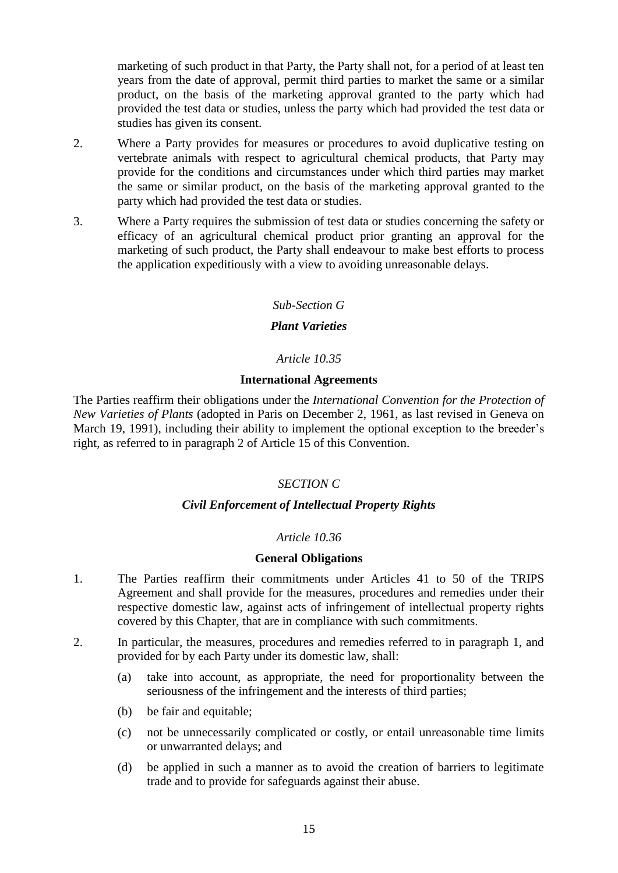marketing of such product in that Party, the Party shall not, for a period of at least ten years from the date of approval, permit third parties to market the same or a similar product, on the basis of the marketing approval granted to the party which had provided the test data or studies, unless the party which had provided the test data or studies has given its consent.

- 2. Where a Party provides for measures or procedures to avoid duplicative testing on vertebrate animals with respect to agricultural chemical products, that Party may provide for the conditions and circumstances under which third parties may market the same or similar product, on the basis of the marketing approval granted to the party which had provided the test data or studies.
- 3. Where a Party requires the submission of test data or studies concerning the safety or efficacy of an agricultural chemical product prior granting an approval for the marketing of such product, the Party shall endeavour to make best efforts to process the application expeditiously with a view to avoiding unreasonable delays.

### *Sub-Section G*

#### *Plant Varieties*

### *Article 10.35*

### **International Agreements**

The Parties reaffirm their obligations under the *International Convention for the Protection of New Varieties of Plants* (adopted in Paris on December 2, 1961, as last revised in Geneva on March 19, 1991), including their ability to implement the optional exception to the breeder's right, as referred to in paragraph 2 of Article 15 of this Convention.

# *SECTION C*

### *Civil Enforcement of Intellectual Property Rights*

### *Article 10.36*

#### **General Obligations**

- 1. The Parties reaffirm their commitments under Articles 41 to 50 of the TRIPS Agreement and shall provide for the measures, procedures and remedies under their respective domestic law, against acts of infringement of intellectual property rights covered by this Chapter, that are in compliance with such commitments.
- 2. In particular, the measures, procedures and remedies referred to in paragraph 1, and provided for by each Party under its domestic law, shall:
	- (a) take into account, as appropriate, the need for proportionality between the seriousness of the infringement and the interests of third parties;
	- (b) be fair and equitable;
	- (c) not be unnecessarily complicated or costly, or entail unreasonable time limits or unwarranted delays; and
	- (d) be applied in such a manner as to avoid the creation of barriers to legitimate trade and to provide for safeguards against their abuse.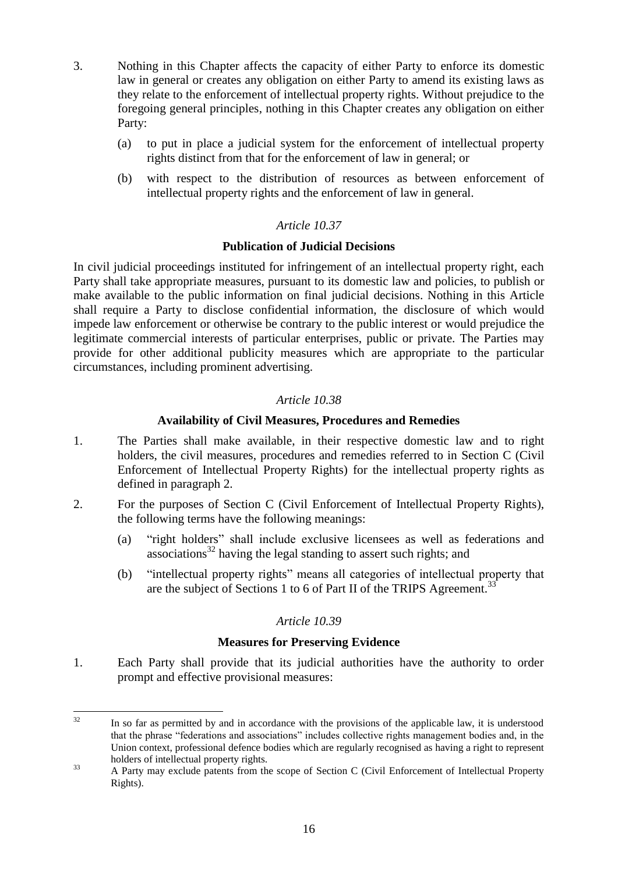- 3. Nothing in this Chapter affects the capacity of either Party to enforce its domestic law in general or creates any obligation on either Party to amend its existing laws as they relate to the enforcement of intellectual property rights. Without prejudice to the foregoing general principles, nothing in this Chapter creates any obligation on either Party:
	- (a) to put in place a judicial system for the enforcement of intellectual property rights distinct from that for the enforcement of law in general; or
	- (b) with respect to the distribution of resources as between enforcement of intellectual property rights and the enforcement of law in general.

#### **Publication of Judicial Decisions**

In civil judicial proceedings instituted for infringement of an intellectual property right, each Party shall take appropriate measures, pursuant to its domestic law and policies, to publish or make available to the public information on final judicial decisions. Nothing in this Article shall require a Party to disclose confidential information, the disclosure of which would impede law enforcement or otherwise be contrary to the public interest or would prejudice the legitimate commercial interests of particular enterprises, public or private. The Parties may provide for other additional publicity measures which are appropriate to the particular circumstances, including prominent advertising.

#### *Article 10.38*

#### **Availability of Civil Measures, Procedures and Remedies**

- 1. The Parties shall make available, in their respective domestic law and to right holders, the civil measures, procedures and remedies referred to in Section C (Civil Enforcement of Intellectual Property Rights) for the intellectual property rights as defined in paragraph 2.
- 2. For the purposes of Section C (Civil Enforcement of Intellectual Property Rights), the following terms have the following meanings:
	- (a) "right holders" shall include exclusive licensees as well as federations and associations<sup>32</sup> having the legal standing to assert such rights; and
	- (b) "intellectual property rights" means all categories of intellectual property that are the subject of Sections 1 to 6 of Part II of the TRIPS Agreement.<sup>33</sup>

### *Article 10.39*

#### **Measures for Preserving Evidence**

1. Each Party shall provide that its judicial authorities have the authority to order prompt and effective provisional measures:

 $32$ In so far as permitted by and in accordance with the provisions of the applicable law, it is understood that the phrase "federations and associations" includes collective rights management bodies and, in the Union context, professional defence bodies which are regularly recognised as having a right to represent holders of intellectual property rights.

<sup>&</sup>lt;sup>33</sup> A Party may exclude patents from the scope of Section C (Civil Enforcement of Intellectual Property Rights).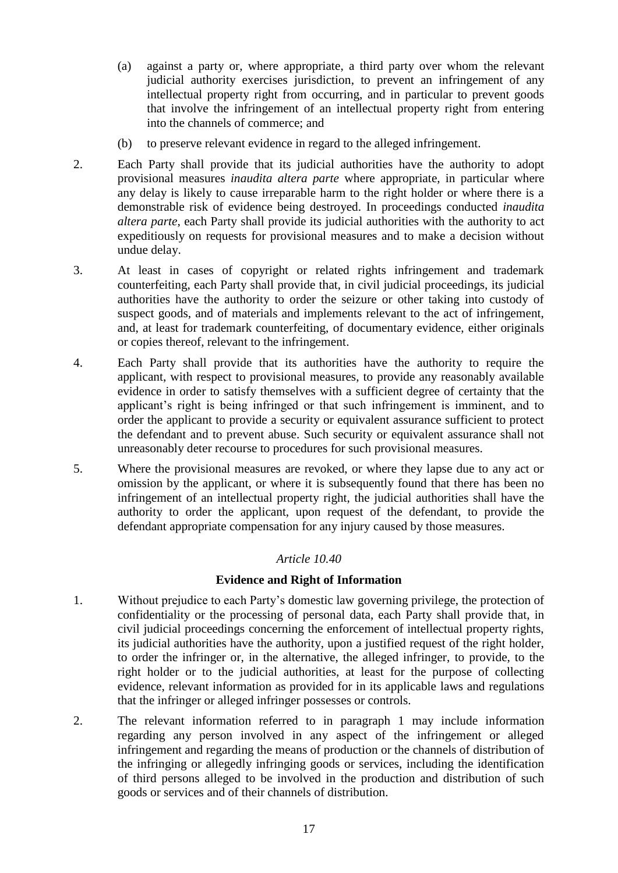- (a) against a party or, where appropriate, a third party over whom the relevant judicial authority exercises jurisdiction, to prevent an infringement of any intellectual property right from occurring, and in particular to prevent goods that involve the infringement of an intellectual property right from entering into the channels of commerce; and
- (b) to preserve relevant evidence in regard to the alleged infringement.
- 2. Each Party shall provide that its judicial authorities have the authority to adopt provisional measures *inaudita altera parte* where appropriate, in particular where any delay is likely to cause irreparable harm to the right holder or where there is a demonstrable risk of evidence being destroyed. In proceedings conducted *inaudita altera parte*, each Party shall provide its judicial authorities with the authority to act expeditiously on requests for provisional measures and to make a decision without undue delay.
- 3. At least in cases of copyright or related rights infringement and trademark counterfeiting, each Party shall provide that, in civil judicial proceedings, its judicial authorities have the authority to order the seizure or other taking into custody of suspect goods, and of materials and implements relevant to the act of infringement, and, at least for trademark counterfeiting, of documentary evidence, either originals or copies thereof, relevant to the infringement.
- 4. Each Party shall provide that its authorities have the authority to require the applicant, with respect to provisional measures, to provide any reasonably available evidence in order to satisfy themselves with a sufficient degree of certainty that the applicant's right is being infringed or that such infringement is imminent, and to order the applicant to provide a security or equivalent assurance sufficient to protect the defendant and to prevent abuse. Such security or equivalent assurance shall not unreasonably deter recourse to procedures for such provisional measures.
- 5. Where the provisional measures are revoked, or where they lapse due to any act or omission by the applicant, or where it is subsequently found that there has been no infringement of an intellectual property right, the judicial authorities shall have the authority to order the applicant, upon request of the defendant, to provide the defendant appropriate compensation for any injury caused by those measures.

### **Evidence and Right of Information**

- 1. Without prejudice to each Party's domestic law governing privilege, the protection of confidentiality or the processing of personal data, each Party shall provide that, in civil judicial proceedings concerning the enforcement of intellectual property rights, its judicial authorities have the authority, upon a justified request of the right holder, to order the infringer or, in the alternative, the alleged infringer, to provide, to the right holder or to the judicial authorities, at least for the purpose of collecting evidence, relevant information as provided for in its applicable laws and regulations that the infringer or alleged infringer possesses or controls.
- 2. The relevant information referred to in paragraph 1 may include information regarding any person involved in any aspect of the infringement or alleged infringement and regarding the means of production or the channels of distribution of the infringing or allegedly infringing goods or services, including the identification of third persons alleged to be involved in the production and distribution of such goods or services and of their channels of distribution.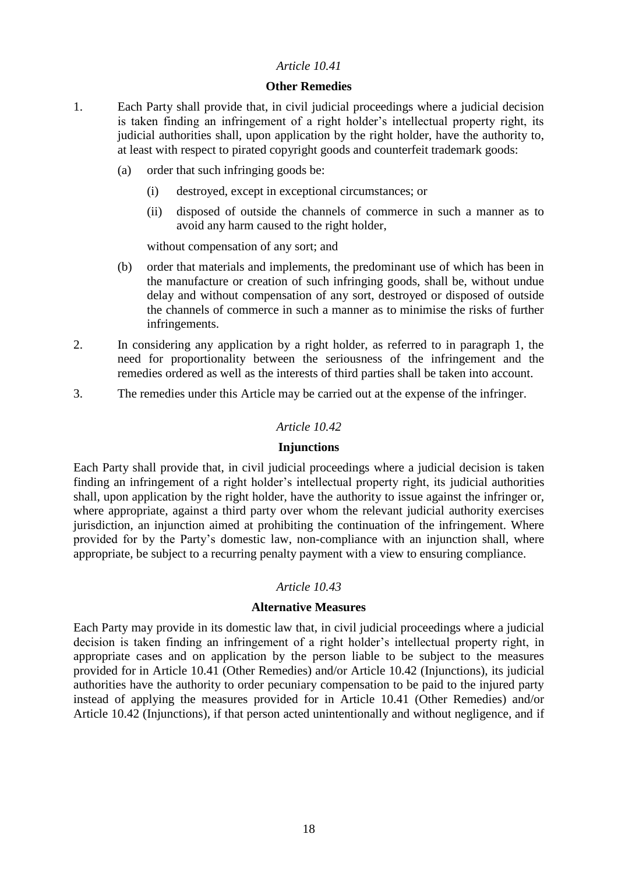#### **Other Remedies**

- 1. Each Party shall provide that, in civil judicial proceedings where a judicial decision is taken finding an infringement of a right holder's intellectual property right, its judicial authorities shall, upon application by the right holder, have the authority to, at least with respect to pirated copyright goods and counterfeit trademark goods:
	- (a) order that such infringing goods be:
		- (i) destroyed, except in exceptional circumstances; or
		- (ii) disposed of outside the channels of commerce in such a manner as to avoid any harm caused to the right holder,

without compensation of any sort; and

- (b) order that materials and implements, the predominant use of which has been in the manufacture or creation of such infringing goods, shall be, without undue delay and without compensation of any sort, destroyed or disposed of outside the channels of commerce in such a manner as to minimise the risks of further infringements.
- 2. In considering any application by a right holder, as referred to in paragraph 1, the need for proportionality between the seriousness of the infringement and the remedies ordered as well as the interests of third parties shall be taken into account.
- 3. The remedies under this Article may be carried out at the expense of the infringer.

### *Article 10.42*

#### **Injunctions**

Each Party shall provide that, in civil judicial proceedings where a judicial decision is taken finding an infringement of a right holder's intellectual property right, its judicial authorities shall, upon application by the right holder, have the authority to issue against the infringer or, where appropriate, against a third party over whom the relevant judicial authority exercises jurisdiction, an injunction aimed at prohibiting the continuation of the infringement. Where provided for by the Party's domestic law, non-compliance with an injunction shall, where appropriate, be subject to a recurring penalty payment with a view to ensuring compliance.

#### *Article 10.43*

#### **Alternative Measures**

Each Party may provide in its domestic law that, in civil judicial proceedings where a judicial decision is taken finding an infringement of a right holder's intellectual property right, in appropriate cases and on application by the person liable to be subject to the measures provided for in Article 10.41 (Other Remedies) and/or Article 10.42 (Injunctions), its judicial authorities have the authority to order pecuniary compensation to be paid to the injured party instead of applying the measures provided for in Article 10.41 (Other Remedies) and/or Article 10.42 (Injunctions), if that person acted unintentionally and without negligence, and if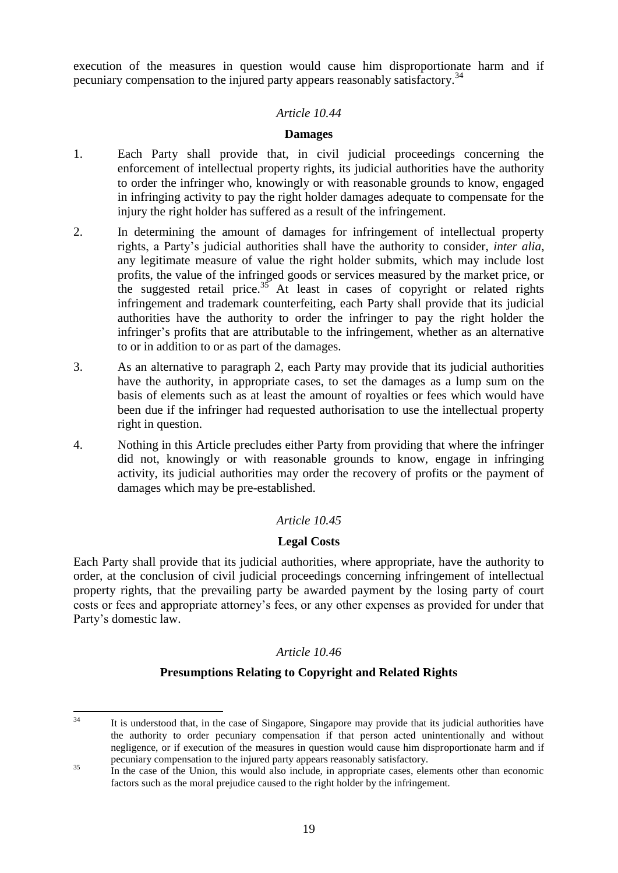execution of the measures in question would cause him disproportionate harm and if pecuniary compensation to the injured party appears reasonably satisfactory.<sup>34</sup>

### *Article 10.44*

### **Damages**

- 1. Each Party shall provide that, in civil judicial proceedings concerning the enforcement of intellectual property rights, its judicial authorities have the authority to order the infringer who, knowingly or with reasonable grounds to know, engaged in infringing activity to pay the right holder damages adequate to compensate for the injury the right holder has suffered as a result of the infringement.
- 2. In determining the amount of damages for infringement of intellectual property rights, a Party's judicial authorities shall have the authority to consider, *inter alia*, any legitimate measure of value the right holder submits, which may include lost profits, the value of the infringed goods or services measured by the market price, or the suggested retail price.<sup>35</sup> At least in cases of copyright or related rights infringement and trademark counterfeiting, each Party shall provide that its judicial authorities have the authority to order the infringer to pay the right holder the infringer's profits that are attributable to the infringement, whether as an alternative to or in addition to or as part of the damages.
- 3. As an alternative to paragraph 2, each Party may provide that its judicial authorities have the authority, in appropriate cases, to set the damages as a lump sum on the basis of elements such as at least the amount of royalties or fees which would have been due if the infringer had requested authorisation to use the intellectual property right in question.
- 4. Nothing in this Article precludes either Party from providing that where the infringer did not, knowingly or with reasonable grounds to know, engage in infringing activity, its judicial authorities may order the recovery of profits or the payment of damages which may be pre-established.

### *Article 10.45*

### **Legal Costs**

Each Party shall provide that its judicial authorities, where appropriate, have the authority to order, at the conclusion of civil judicial proceedings concerning infringement of intellectual property rights, that the prevailing party be awarded payment by the losing party of court costs or fees and appropriate attorney's fees, or any other expenses as provided for under that Party's domestic law.

#### *Article 10.46*

### **Presumptions Relating to Copyright and Related Rights**

 $34$ It is understood that, in the case of Singapore, Singapore may provide that its judicial authorities have the authority to order pecuniary compensation if that person acted unintentionally and without negligence, or if execution of the measures in question would cause him disproportionate harm and if pecuniary compensation to the injured party appears reasonably satisfactory.

<sup>&</sup>lt;sup>35</sup> In the case of the Union, this would also include, in appropriate cases, elements other than economic factors such as the moral prejudice caused to the right holder by the infringement.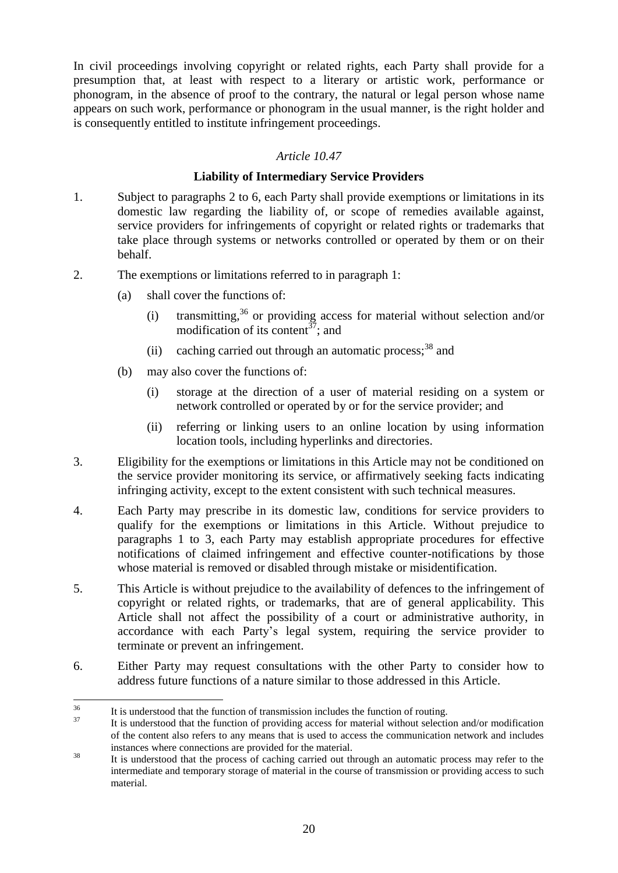In civil proceedings involving copyright or related rights, each Party shall provide for a presumption that, at least with respect to a literary or artistic work, performance or phonogram, in the absence of proof to the contrary, the natural or legal person whose name appears on such work, performance or phonogram in the usual manner, is the right holder and is consequently entitled to institute infringement proceedings.

# *Article 10.47*

### **Liability of Intermediary Service Providers**

- 1. Subject to paragraphs 2 to 6, each Party shall provide exemptions or limitations in its domestic law regarding the liability of, or scope of remedies available against, service providers for infringements of copyright or related rights or trademarks that take place through systems or networks controlled or operated by them or on their behalf.
- 2. The exemptions or limitations referred to in paragraph 1:
	- (a) shall cover the functions of:
		- (i) transmitting, <sup>36</sup> or providing access for material without selection and/or modification of its content<sup>37</sup>; and
		- (ii) caching carried out through an automatic process;  $38$  and
	- (b) may also cover the functions of:
		- (i) storage at the direction of a user of material residing on a system or network controlled or operated by or for the service provider; and
		- (ii) referring or linking users to an online location by using information location tools, including hyperlinks and directories.
- 3. Eligibility for the exemptions or limitations in this Article may not be conditioned on the service provider monitoring its service, or affirmatively seeking facts indicating infringing activity, except to the extent consistent with such technical measures.
- 4. Each Party may prescribe in its domestic law, conditions for service providers to qualify for the exemptions or limitations in this Article. Without prejudice to paragraphs 1 to 3, each Party may establish appropriate procedures for effective notifications of claimed infringement and effective counter-notifications by those whose material is removed or disabled through mistake or misidentification.
- 5. This Article is without prejudice to the availability of defences to the infringement of copyright or related rights, or trademarks, that are of general applicability. This Article shall not affect the possibility of a court or administrative authority, in accordance with each Party's legal system, requiring the service provider to terminate or prevent an infringement.
- 6. Either Party may request consultations with the other Party to consider how to address future functions of a nature similar to those addressed in this Article.

<sup>36</sup>  $\frac{36}{37}$  It is understood that the function of transmission includes the function of routing.

<sup>37</sup> It is understood that the function of providing access for material without selection and/or modification of the content also refers to any means that is used to access the communication network and includes instances where connections are provided for the material.

<sup>&</sup>lt;sup>38</sup> It is understood that the process of caching carried out through an automatic process may refer to the intermediate and temporary storage of material in the course of transmission or providing access to such material.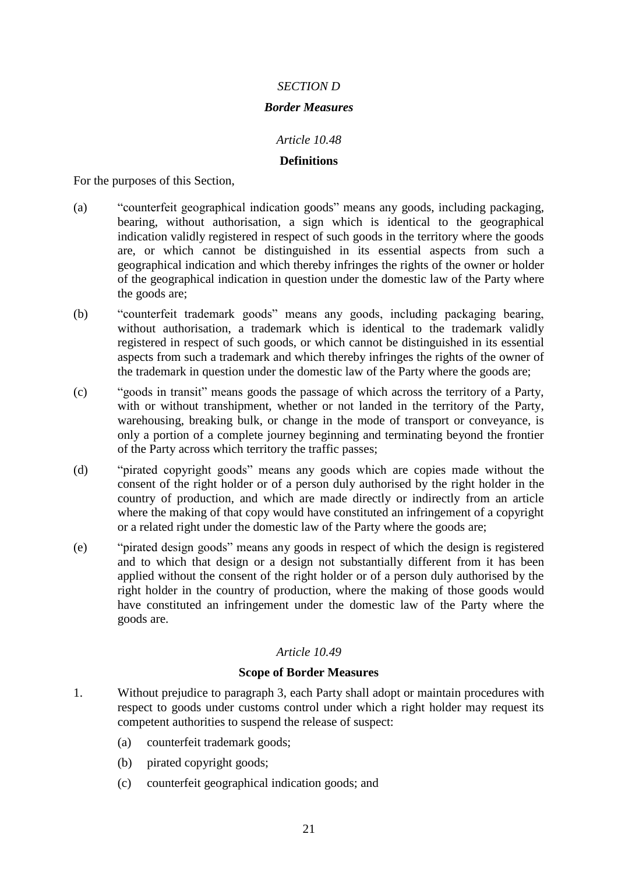### *SECTION D*

#### *Border Measures*

### *Article 10.48*

#### **Definitions**

For the purposes of this Section,

- (a) "counterfeit geographical indication goods" means any goods, including packaging, bearing, without authorisation, a sign which is identical to the geographical indication validly registered in respect of such goods in the territory where the goods are, or which cannot be distinguished in its essential aspects from such a geographical indication and which thereby infringes the rights of the owner or holder of the geographical indication in question under the domestic law of the Party where the goods are;
- (b) "counterfeit trademark goods" means any goods, including packaging bearing, without authorisation, a trademark which is identical to the trademark validly registered in respect of such goods, or which cannot be distinguished in its essential aspects from such a trademark and which thereby infringes the rights of the owner of the trademark in question under the domestic law of the Party where the goods are;
- (c) "goods in transit" means goods the passage of which across the territory of a Party, with or without transhipment, whether or not landed in the territory of the Party, warehousing, breaking bulk, or change in the mode of transport or conveyance, is only a portion of a complete journey beginning and terminating beyond the frontier of the Party across which territory the traffic passes;
- (d) "pirated copyright goods" means any goods which are copies made without the consent of the right holder or of a person duly authorised by the right holder in the country of production, and which are made directly or indirectly from an article where the making of that copy would have constituted an infringement of a copyright or a related right under the domestic law of the Party where the goods are;
- (e) "pirated design goods" means any goods in respect of which the design is registered and to which that design or a design not substantially different from it has been applied without the consent of the right holder or of a person duly authorised by the right holder in the country of production, where the making of those goods would have constituted an infringement under the domestic law of the Party where the goods are.

#### *Article 10.49*

#### **Scope of Border Measures**

- 1. Without prejudice to paragraph 3, each Party shall adopt or maintain procedures with respect to goods under customs control under which a right holder may request its competent authorities to suspend the release of suspect:
	- (a) counterfeit trademark goods;
	- (b) pirated copyright goods;
	- (c) counterfeit geographical indication goods; and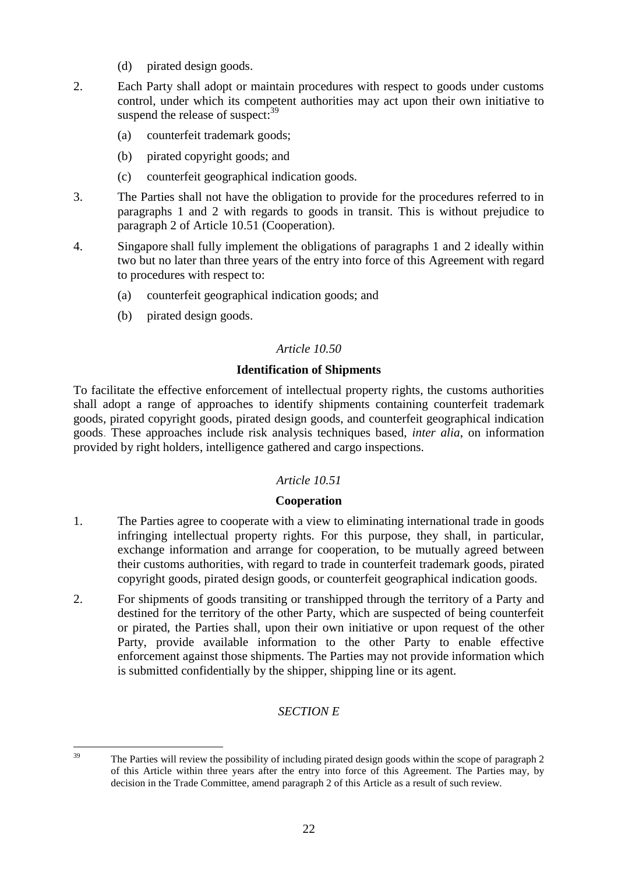- (d) pirated design goods.
- 2. Each Party shall adopt or maintain procedures with respect to goods under customs control, under which its competent authorities may act upon their own initiative to suspend the release of suspect:<sup>39</sup>
	- (a) counterfeit trademark goods;
	- (b) pirated copyright goods; and
	- (c) counterfeit geographical indication goods.
- 3. The Parties shall not have the obligation to provide for the procedures referred to in paragraphs 1 and 2 with regards to goods in transit. This is without prejudice to paragraph 2 of Article 10.51 (Cooperation).
- 4. Singapore shall fully implement the obligations of paragraphs 1 and 2 ideally within two but no later than three years of the entry into force of this Agreement with regard to procedures with respect to:
	- (a) counterfeit geographical indication goods; and
	- (b) pirated design goods.

# **Identification of Shipments**

To facilitate the effective enforcement of intellectual property rights, the customs authorities shall adopt a range of approaches to identify shipments containing counterfeit trademark goods, pirated copyright goods, pirated design goods, and counterfeit geographical indication goods. These approaches include risk analysis techniques based, *inter alia*, on information provided by right holders, intelligence gathered and cargo inspections.

# *Article 10.51*

### **Cooperation**

- 1. The Parties agree to cooperate with a view to eliminating international trade in goods infringing intellectual property rights. For this purpose, they shall, in particular, exchange information and arrange for cooperation, to be mutually agreed between their customs authorities, with regard to trade in counterfeit trademark goods, pirated copyright goods, pirated design goods, or counterfeit geographical indication goods.
- 2. For shipments of goods transiting or transhipped through the territory of a Party and destined for the territory of the other Party, which are suspected of being counterfeit or pirated, the Parties shall, upon their own initiative or upon request of the other Party, provide available information to the other Party to enable effective enforcement against those shipments. The Parties may not provide information which is submitted confidentially by the shipper, shipping line or its agent.

# *SECTION E*

39

The Parties will review the possibility of including pirated design goods within the scope of paragraph 2 of this Article within three years after the entry into force of this Agreement. The Parties may, by decision in the Trade Committee, amend paragraph 2 of this Article as a result of such review.